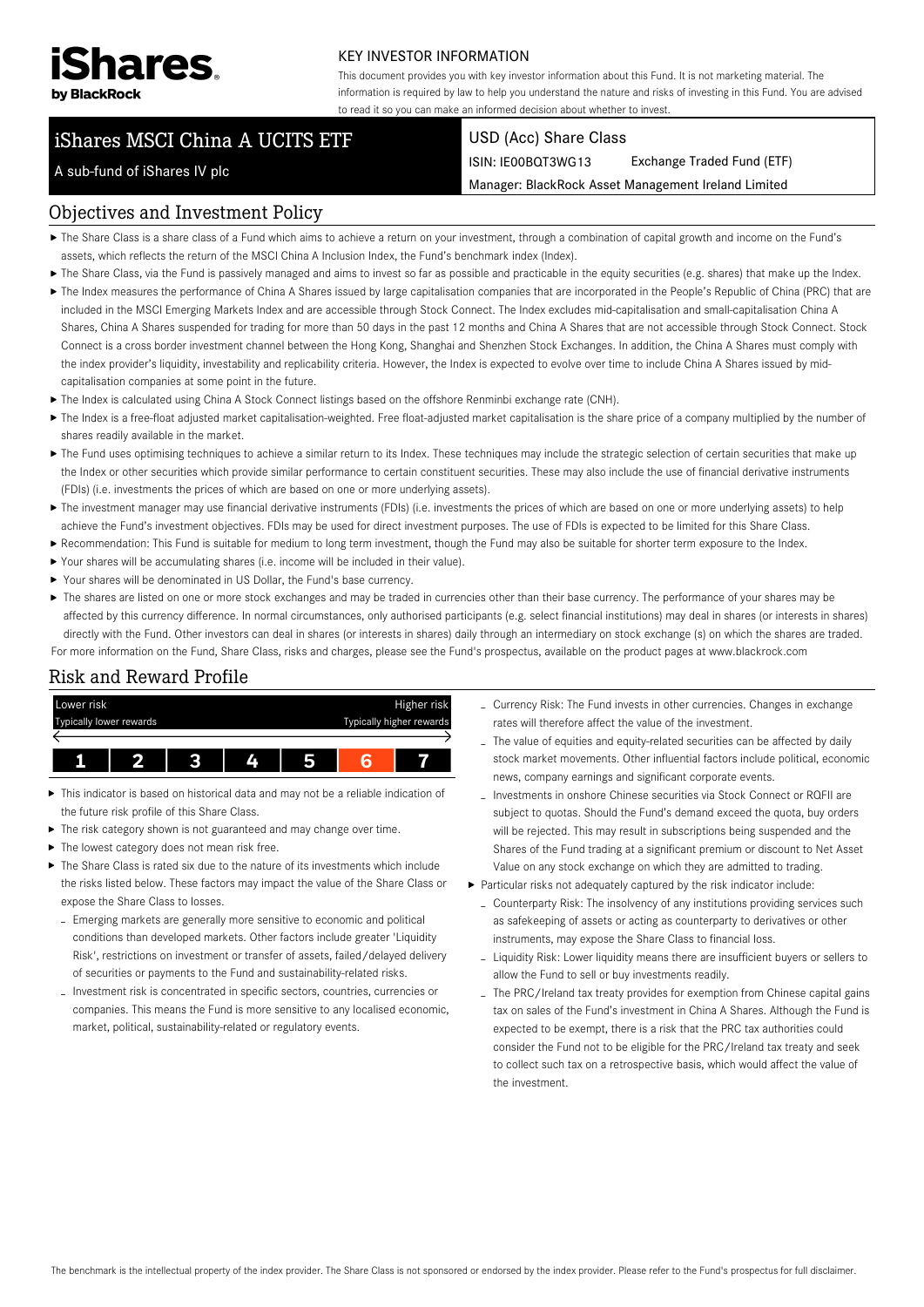

A sub-fund of iShares IV plc

### KEY INVESTOR INFORMATION

This document provides you with key investor information about this Fund. It is not marketing material. The information is required by law to help you understand the nature and risks of investing in this Fund. You are advised to read it so you can make an informed decision about whether to invest.

# iShares MSCI China A UCITS ETF

#### USD (Acc) Share Class

ISIN: IE00BQT3WG13 Exchange Traded Fund (ETF)

Manager: BlackRock Asset Management Ireland Limited

# Objectives and Investment Policy

- The Share Class is a share class of a Fund which aims to achieve a return on your investment, through a combination of capital growth and income on the Fund's
- assets, which reflects the return of the MSCI China A Inclusion Index, the Fund's benchmark index (Index).
- ▶ The Share Class, via the Fund is passively managed and aims to invest so far as possible and practicable in the equity securities (e.g. shares) that make up the Index. ▶ The Index measures the performance of China A Shares issued by large capitalisation companies that are incorporated in the People's Republic of China (PRC) that are included in the MSCI Emerging Markets Index and are accessible through Stock Connect. The Index excludes mid-capitalisation and small-capitalisation China A Shares, China A Shares suspended for trading for more than 50 days in the past 12 months and China A Shares that are not accessible through Stock Connect. Stock Connect is a cross border investment channel between the Hong Kong, Shanghai and Shenzhen Stock Exchanges. In addition, the China A Shares must comply with the index provider's liquidity, investability and replicability criteria. However, the Index is expected to evolve over time to include China A Shares issued by midcapitalisation companies at some point in the future.
- The Index is calculated using China A Stock Connect listings based on the offshore Renminbi exchange rate (CNH).
- ▶ The Index is a free-float adjusted market capitalisation-weighted. Free float-adjusted market capitalisation is the share price of a company multiplied by the number of shares readily available in the market.
- ▶ The Fund uses optimising techniques to achieve a similar return to its Index. These techniques may include the strategic selection of certain securities that make up the Index or other securities which provide similar performance to certain constituent securities. These may also include the use of financial derivative instruments (FDIs) (i.e. investments the prices of which are based on one or more underlying assets).
- ▶ The investment manager may use financial derivative instruments (FDIs) (i.e. investments the prices of which are based on one or more underlying assets) to help achieve the Fund's investment objectives. FDIs may be used for direct investment purposes. The use of FDIs is expected to be limited for this Share Class.
- Recommendation: This Fund is suitable for medium to long term investment, though the Fund may also be suitable for shorter term exposure to the Index.
- Your shares will be accumulating shares (i.e. income will be included in their value).
- Your shares will be denominated in US Dollar, the Fund's base currency.
- ▶ The shares are listed on one or more stock exchanges and may be traded in currencies other than their base currency. The performance of your shares may be affected by this currency difference. In normal circumstances, only authorised participants (e.g. select financial institutions) may deal in shares (or interests in shares) directly with the Fund. Other investors can deal in shares (or interests in shares) daily through an intermediary on stock exchange (s) on which the shares are traded. For more information on the Fund, Share Class, risks and charges, please see the Fund's prospectus, available on the product pages at www.blackrock.com

### Risk and Reward Profile



- This indicator is based on historical data and may not be a reliable indication of the future risk profile of this Share Class.
- The risk category shown is not guaranteed and may change over time.
- ▶ The lowest category does not mean risk free.
- $\blacktriangleright$  The Share Class is rated six due to the nature of its investments which include the risks listed below. These factors may impact the value of the Share Class or expose the Share Class to losses.
	- Emerging markets are generally more sensitive to economic and political conditions than developed markets. Other factors include greater 'Liquidity Risk', restrictions on investment or transfer of assets, failed/delayed delivery of securities or payments to the Fund and sustainability-related risks.
	- Investment risk is concentrated in specific sectors, countries, currencies or companies. This means the Fund is more sensitive to any localised economic, market, political, sustainability-related or regulatory events.
- Currency Risk: The Fund invests in other currencies. Changes in exchange rates will therefore affect the value of the investment.
- The value of equities and equity-related securities can be affected by daily stock market movements. Other influential factors include political, economic news, company earnings and significant corporate events.
- Investments in onshore Chinese securities via Stock Connect or RQFII are subject to quotas. Should the Fund's demand exceed the quota, buy orders will be rejected. This may result in subscriptions being suspended and the Shares of the Fund trading at a significant premium or discount to Net Asset Value on any stock exchange on which they are admitted to trading.
- Particular risks not adequately captured by the risk indicator include:
	- Counterparty Risk: The insolvency of any institutions providing services such as safekeeping of assets or acting as counterparty to derivatives or other instruments, may expose the Share Class to financial loss.
	- Liquidity Risk: Lower liquidity means there are insufficient buyers or sellers to allow the Fund to sell or buy investments readily.
	- The PRC/Ireland tax treaty provides for exemption from Chinese capital gains tax on sales of the Fund's investment in China A Shares. Although the Fund is expected to be exempt, there is a risk that the PRC tax authorities could consider the Fund not to be eligible for the PRC/Ireland tax treaty and seek to collect such tax on a retrospective basis, which would affect the value of the investment.